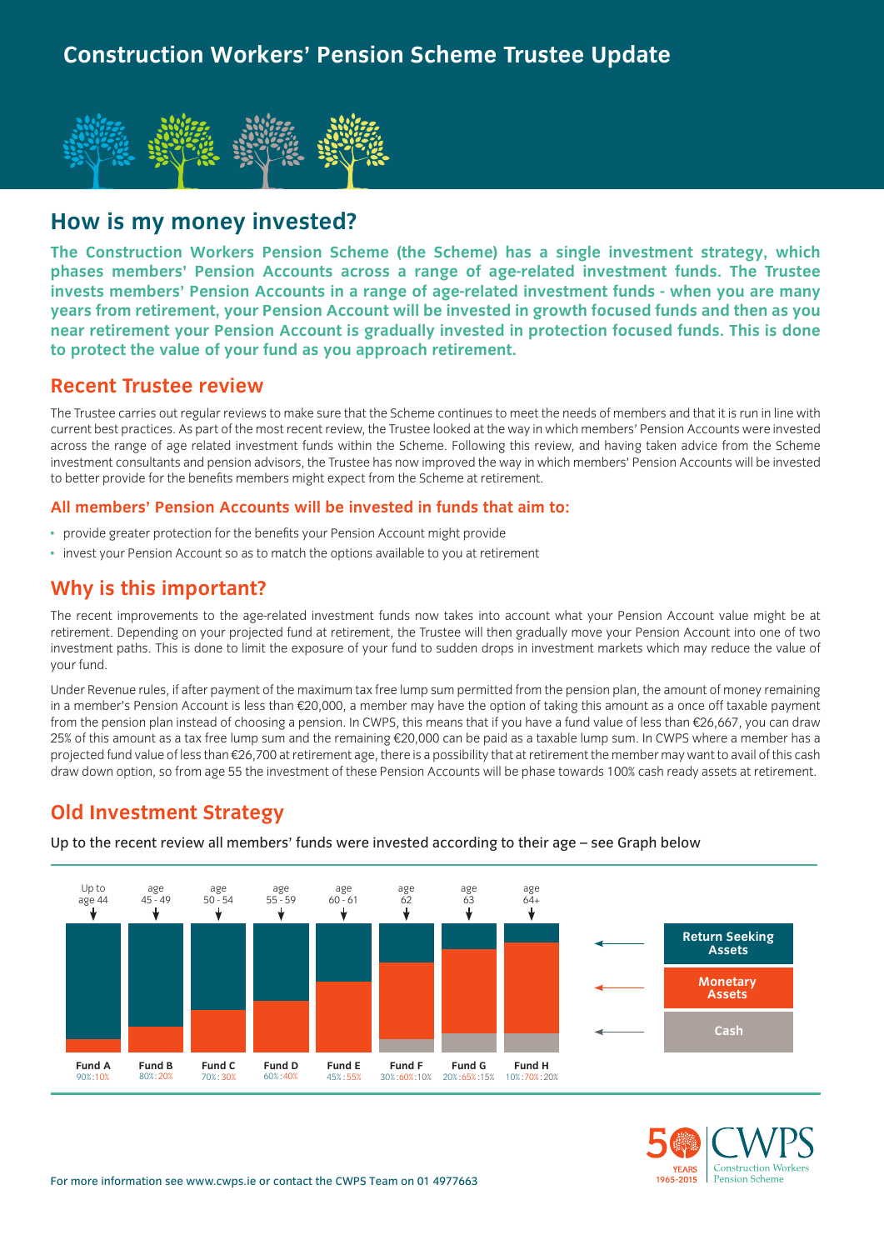

# **How is my money invested?**

**The Construction Workers Pension Scheme (the Scheme) has a single investment strategy, which phases members' Pension Accounts across a range of age-related investment funds. The Trustee invests members' Pension Accounts in a range of age-related investment funds - when you are many years from retirement, your Pension Account will be invested in growth focused funds and then as you near retirement your Pension Account is gradually invested in protection focused funds. This is done to protect the value of your fund as you approach retirement.**

### **Recent Trustee review**

The Trustee carries out regular reviews to make sure that the Scheme continues to meet the needs of members and that it is run in line with current best practices. As part of the most recent review, the Trustee looked at the way in which members' Pension Accounts were invested across the range of age related investment funds within the Scheme. Following this review, and having taken advice from the Scheme investment consultants and pension advisors, the Trustee has now improved the way in which members' Pension Accounts will be invested to better provide for the benefits members might expect from the Scheme at retirement.

#### **All members' Pension Accounts will be invested in funds that aim to:**

- provide greater protection for the benefits your Pension Account might provide
- invest your Pension Account so as to match the options available to you at retirement

### **Why is this important?**

The recent improvements to the age-related investment funds now takes into account what your Pension Account value might be at retirement. Depending on your projected fund at retirement, the Trustee will then gradually move your Pension Account into one of two investment paths. This is done to limit the exposure of your fund to sudden drops in investment markets which may reduce the value of your fund.

Under Revenue rules, if after payment of the maximum tax free lump sum permitted from the pension plan, the amount of money remaining in a member's Pension Account is less than €20,000, a member may have the option of taking this amount as a once off taxable payment from the pension plan instead of choosing a pension. In CWPS, this means that if you have a fund value of less than €26,667, you can draw 25% of this amount as a tax free lump sum and the remaining €20,000 can be paid as a taxable lump sum. In CWPS where a member has a projected fund value of less than €26,700 at retirement age, there is a possibility that at retirement the member may want to avail of this cash draw down option, so from age 55 the investment of these Pension Accounts will be phase towards 100% cash ready assets at retirement.

# **Old Investment Strategy**



Up to the recent review all members' funds were invested according to their age – see Graph below